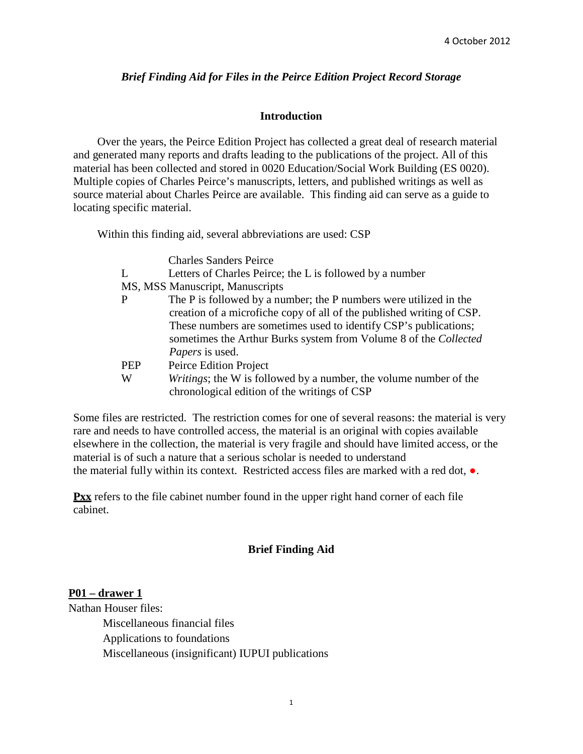#### *Brief Finding Aid for Files in the Peirce Edition Project Record Storage*

#### **Introduction**

Over the years, the Peirce Edition Project has collected a great deal of research material and generated many reports and drafts leading to the publications of the project. All of this material has been collected and stored in 0020 Education/Social Work Building (ES 0020). Multiple copies of Charles Peirce's manuscripts, letters, and published writings as well as source material about Charles Peirce are available. This finding aid can serve as a guide to locating specific material.

Within this finding aid, several abbreviations are used: CSP

Charles Sanders Peirce

| Letters of Charles Peirce; the L is followed by a number              |
|-----------------------------------------------------------------------|
| MS, MSS Manuscript, Manuscripts                                       |
| The P is followed by a number; the P numbers were utilized in the     |
| creation of a microfiche copy of all of the published writing of CSP. |
| These numbers are sometimes used to identify CSP's publications;      |
| sometimes the Arthur Burks system from Volume 8 of the Collected      |
| <i>Papers</i> is used.                                                |
| Peirce Edition Project                                                |
| Writings; the W is followed by a number, the volume number of the     |
| chronological edition of the writings of CSP                          |
|                                                                       |

Some files are restricted. The restriction comes for one of several reasons: the material is very rare and needs to have controlled access, the material is an original with copies available elsewhere in the collection, the material is very fragile and should have limited access, or the material is of such a nature that a serious scholar is needed to understand the material fully within its context. Restricted access files are marked with a red dot, ●.

**Pxx** refers to the file cabinet number found in the upper right hand corner of each file cabinet.

#### **Brief Finding Aid**

#### **P01 – drawer 1**

Nathan Houser files: Miscellaneous financial files Applications to foundations Miscellaneous (insignificant) IUPUI publications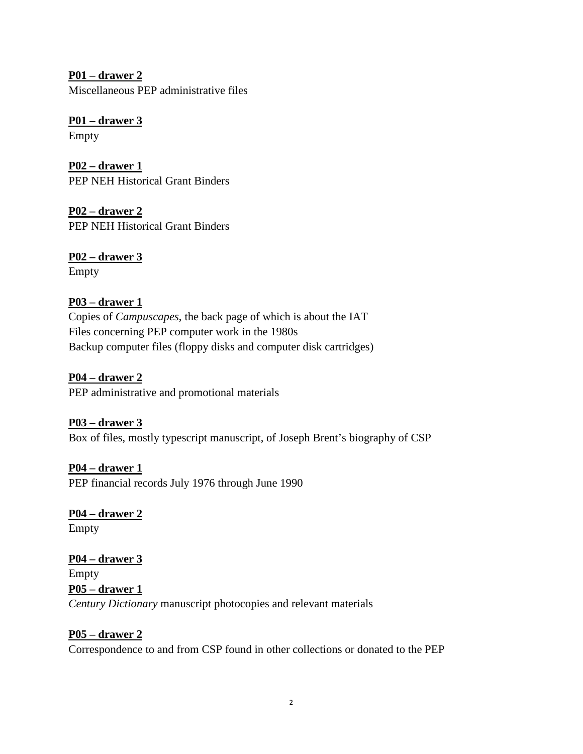**P01 – drawer 2**  Miscellaneous PEP administrative files

**P01 – drawer 3** Empty

**P02 – drawer 1**  PEP NEH Historical Grant Binders

**P02 – drawer 2** PEP NEH Historical Grant Binders

**P02 – drawer 3**  Empty

### **P03 – drawer 1**

Copies of *Campuscapes*, the back page of which is about the IAT Files concerning PEP computer work in the 1980s Backup computer files (floppy disks and computer disk cartridges)

**P04 – drawer 2**  PEP administrative and promotional materials

**P03 – drawer 3** Box of files, mostly typescript manuscript, of Joseph Brent's biography of CSP

**P04 – drawer 1** PEP financial records July 1976 through June 1990

**P04 – drawer 2** Empty

**P04 – drawer 3** Empty **P05 – drawer 1**  *Century Dictionary* manuscript photocopies and relevant materials

### **P05 – drawer 2**

Correspondence to and from CSP found in other collections or donated to the PEP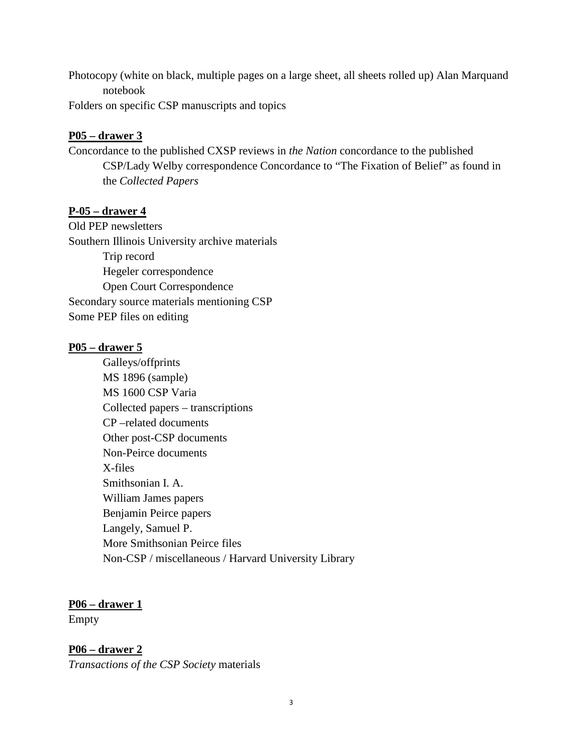Photocopy (white on black, multiple pages on a large sheet, all sheets rolled up) Alan Marquand notebook

Folders on specific CSP manuscripts and topics

#### **P05 – drawer 3**

Concordance to the published CXSP reviews in *the Nation* concordance to the published CSP/Lady Welby correspondence Concordance to "The Fixation of Belief" as found in the *Collected Papers* 

#### **P-05 – drawer 4**

Old PEP newsletters Southern Illinois University archive materials Trip record Hegeler correspondence Open Court Correspondence Secondary source materials mentioning CSP Some PEP files on editing

#### **P05 – drawer 5**

Galleys/offprints MS 1896 (sample) MS 1600 CSP Varia Collected papers – transcriptions CP –related documents Other post-CSP documents Non-Peirce documents X-files Smithsonian I. A. William James papers Benjamin Peirce papers Langely, Samuel P. More Smithsonian Peirce files Non-CSP / miscellaneous / Harvard University Library

### **P06 – drawer 1**

Empty

**P06 – drawer 2** *Transactions of the CSP Society* materials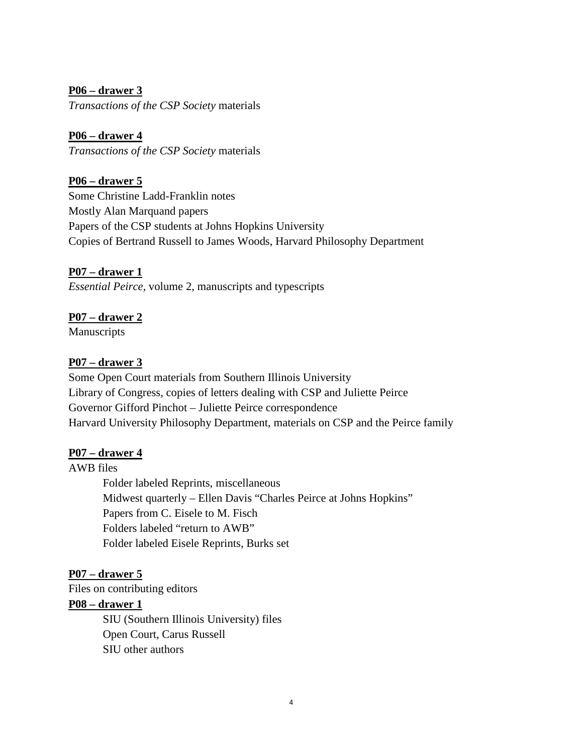**P06 – drawer 3** *Transactions of the CSP Society* materials

**P06 – drawer 4**  *Transactions of the CSP Society* materials

**P06 – drawer 5**

Some Christine Ladd-Franklin notes Mostly Alan Marquand papers Papers of the CSP students at Johns Hopkins University Copies of Bertrand Russell to James Woods, Harvard Philosophy Department

**P07 – drawer 1** *Essential Peirce,* volume 2, manuscripts and typescripts

### **P07 – drawer 2**

Manuscripts

#### **P07 – drawer 3**

Some Open Court materials from Southern Illinois University Library of Congress, copies of letters dealing with CSP and Juliette Peirce Governor Gifford Pinchot – Juliette Peirce correspondence Harvard University Philosophy Department, materials on CSP and the Peirce family

#### **P07 – drawer 4**

AWB files

Folder labeled Reprints, miscellaneous Midwest quarterly – Ellen Davis "Charles Peirce at Johns Hopkins" Papers from C. Eisele to M. Fisch Folders labeled "return to AWB" Folder labeled Eisele Reprints, Burks set

### **P07 – drawer 5**

Files on contributing editors

#### **P08 – drawer 1**

SIU (Southern Illinois University) files Open Court, Carus Russell SIU other authors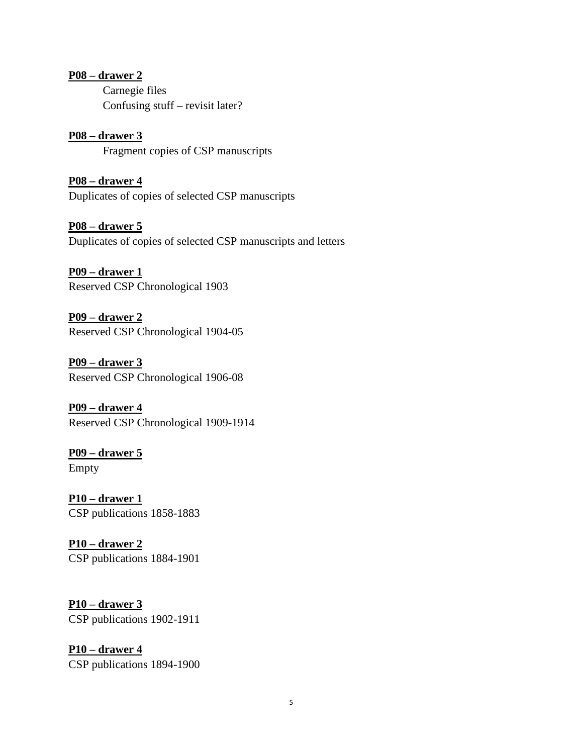#### **P08 – drawer 2**

Carnegie files Confusing stuff – revisit later?

**P08 – drawer 3**  Fragment copies of CSP manuscripts

**P08 – drawer 4** Duplicates of copies of selected CSP manuscripts

**P08 – drawer 5** Duplicates of copies of selected CSP manuscripts and letters

**P09 – drawer 1**  Reserved CSP Chronological 1903

**P09 – drawer 2** Reserved CSP Chronological 1904-05

**P09 – drawer 3** Reserved CSP Chronological 1906-08

**P09 – drawer 4** Reserved CSP Chronological 1909-1914

**P09 – drawer 5** Empty

**P10 – drawer 1** CSP publications 1858-1883

**P10 – drawer 2** CSP publications 1884-1901

**P10 – drawer 3** CSP publications 1902-1911

**P10 – drawer 4**  CSP publications 1894-1900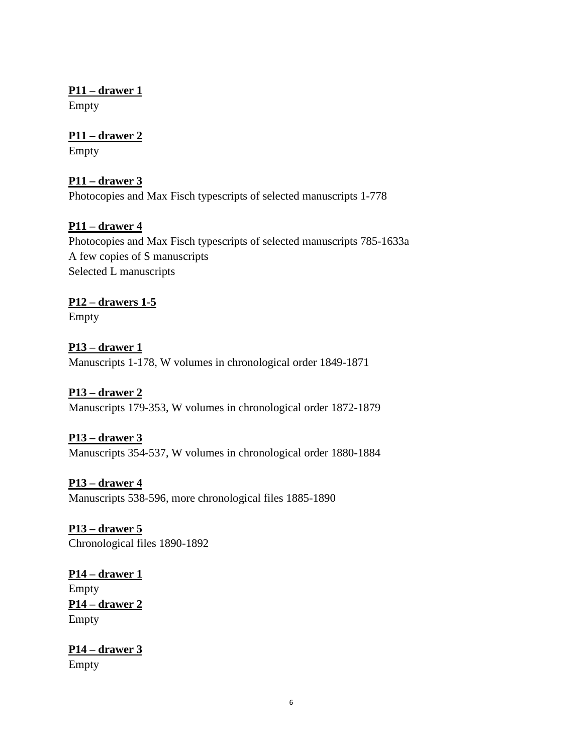**P11 – drawer 1** Empty

**P11 – drawer 2** Empty

**P11 – drawer 3** Photocopies and Max Fisch typescripts of selected manuscripts 1-778

### **P11 – drawer 4**

Photocopies and Max Fisch typescripts of selected manuscripts 785-1633a A few copies of S manuscripts Selected L manuscripts

# **P12 – drawers 1-5**

Empty

#### **P13 – drawer 1**

Manuscripts 1-178, W volumes in chronological order 1849-1871

### **P13 – drawer 2**

Manuscripts 179-353, W volumes in chronological order 1872-1879

### **P13 – drawer 3**

Manuscripts 354-537, W volumes in chronological order 1880-1884

**P13 – drawer 4** Manuscripts 538-596, more chronological files 1885-1890

**P13 – drawer 5** Chronological files 1890-1892

**P14 – drawer 1** Empty **P14 – drawer 2** Empty

**P14 – drawer 3** Empty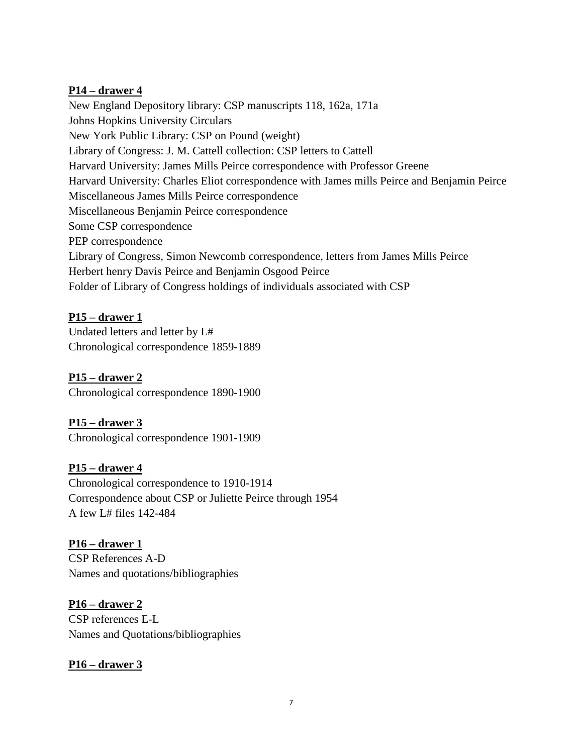#### **P14 – drawer 4**

New England Depository library: CSP manuscripts 118, 162a, 171a Johns Hopkins University Circulars New York Public Library: CSP on Pound (weight) Library of Congress: J. M. Cattell collection: CSP letters to Cattell Harvard University: James Mills Peirce correspondence with Professor Greene Harvard University: Charles Eliot correspondence with James mills Peirce and Benjamin Peirce Miscellaneous James Mills Peirce correspondence Miscellaneous Benjamin Peirce correspondence Some CSP correspondence PEP correspondence Library of Congress, Simon Newcomb correspondence, letters from James Mills Peirce Herbert henry Davis Peirce and Benjamin Osgood Peirce Folder of Library of Congress holdings of individuals associated with CSP

### **P15 – drawer 1**

Undated letters and letter by L# Chronological correspondence 1859-1889

### **P15 – drawer 2**

Chronological correspondence 1890-1900

### **P15 – drawer 3**

Chronological correspondence 1901-1909

### **P15 – drawer 4**

Chronological correspondence to 1910-1914 Correspondence about CSP or Juliette Peirce through 1954 A few L# files 142-484

### **P16 – drawer 1** CSP References A-D Names and quotations/bibliographies

**P16 – drawer 2** CSP references E-L Names and Quotations/bibliographies

### **P16 – drawer 3**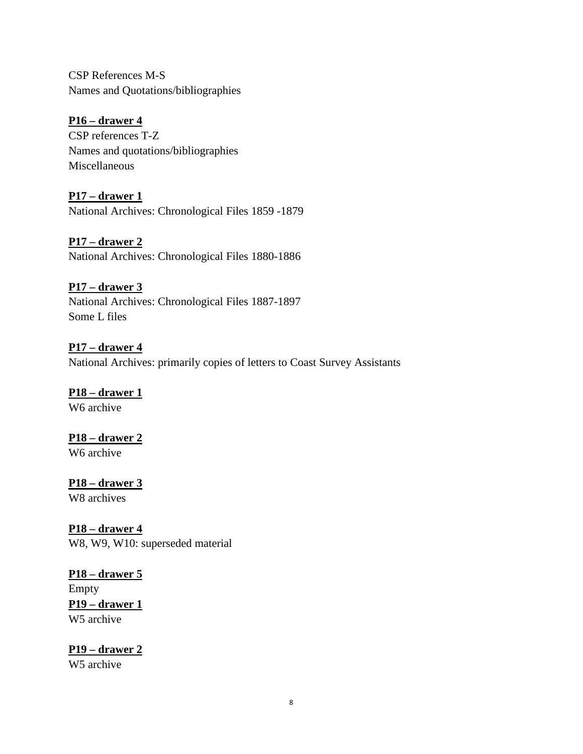CSP References M-S Names and Quotations/bibliographies

**P16 – drawer 4** CSP references T-Z Names and quotations/bibliographies Miscellaneous

**P17 – drawer 1** National Archives: Chronological Files 1859 -1879

**P17 – drawer 2** National Archives: Chronological Files 1880-1886

**P17 – drawer 3** National Archives: Chronological Files 1887-1897 Some L files

**P17 – drawer 4** National Archives: primarily copies of letters to Coast Survey Assistants

**P18 – drawer 1** W6 archive

**P18 – drawer 2**

W<sub>6</sub> archive

**P18 – drawer 3**

W8 archives

**P18 – drawer 4** W8, W9, W10: superseded material

**P18 – drawer 5** Empty **P19 – drawer 1**  W5 archive

**P19 – drawer 2** W5 archive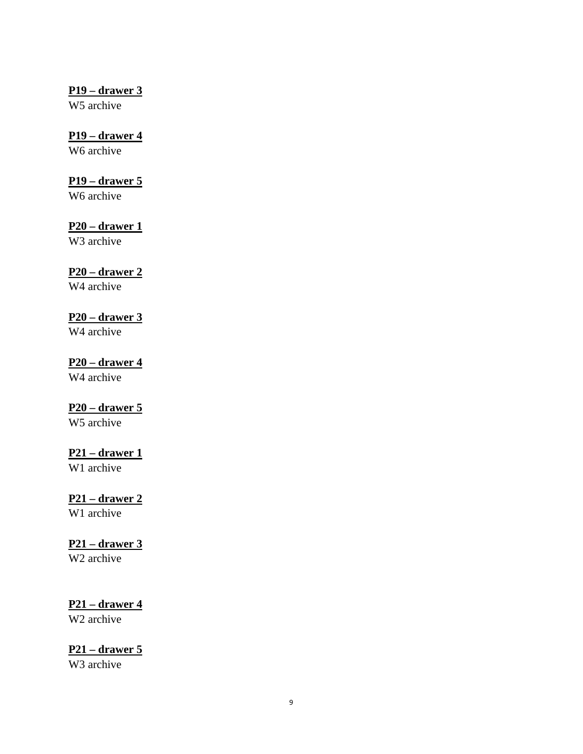#### **P19 – drawer 3**

W5 archive

### **P19 – drawer 4**

W<sub>6</sub> archive

### **P19 – drawer 5**

W6 archive

### **P20 – drawer 1**

W3 archive

### **P20 – drawer 2**

W4 archive

### **P20 – drawer 3**

W4 archive

## **P20 – drawer 4**

W4 archive

### **P20 – drawer 5**

W5 archive

### **P21 – drawer 1**

W1 archive

# **P21 – drawer 2**

W1 archive

### **P21 – drawer 3**

W2 archive

# **P21 – drawer 4**

W2 archive

# **P21 – drawer 5**

W3 archive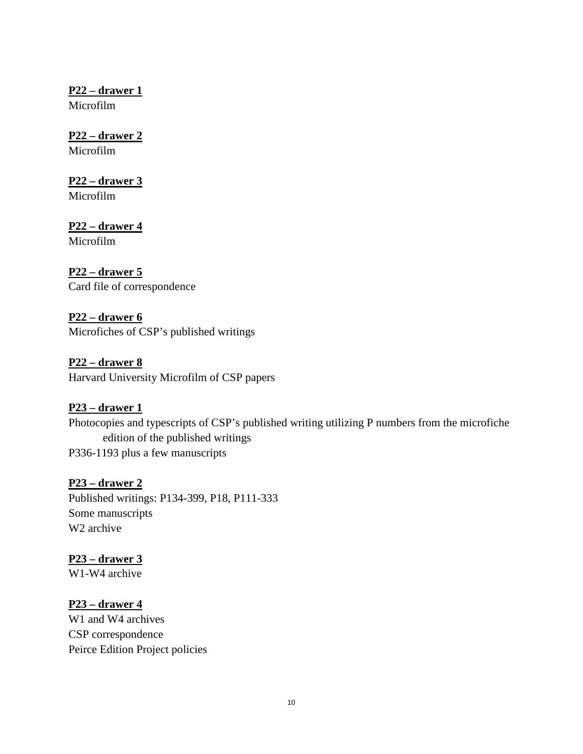**P22 – drawer 1**

Microfilm

# **P22 – drawer 2**

Microfilm

# **P22 – drawer 3**

Microfilm

# **P22 – drawer 4**

Microfilm

# **P22 – drawer 5**

Card file of correspondence

## **P22 – drawer 6** Microfiches of CSP's published writings

**P22 – drawer 8** Harvard University Microfilm of CSP papers

# **P23 – drawer 1**

Photocopies and typescripts of CSP's published writing utilizing P numbers from the microfiche edition of the published writings P336-1193 plus a few manuscripts

# **P23 – drawer 2**

Published writings: P134-399, P18, P111-333 Some manuscripts W2 archive

# **P23 – drawer 3**

W1-W4 archive

# **P23 – drawer 4**

W<sub>1</sub> and W<sub>4</sub> archives CSP correspondence Peirce Edition Project policies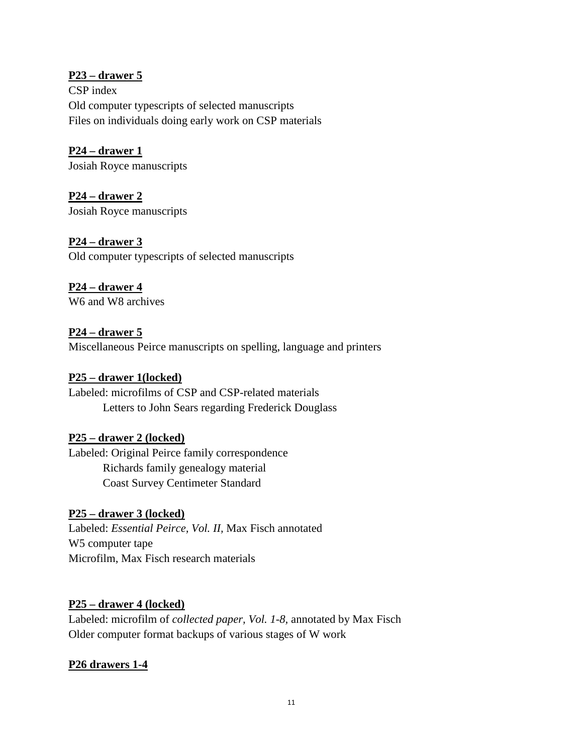### **P23 – drawer 5**

CSP index Old computer typescripts of selected manuscripts Files on individuals doing early work on CSP materials

**P24 – drawer 1** Josiah Royce manuscripts

**P24 – drawer 2** Josiah Royce manuscripts

**P24 – drawer 3** Old computer typescripts of selected manuscripts

#### **P24 – drawer 4** W6 and W8 archives

**P24 – drawer 5** Miscellaneous Peirce manuscripts on spelling, language and printers

### **P25 – drawer 1(locked)**

Labeled: microfilms of CSP and CSP-related materials Letters to John Sears regarding Frederick Douglass

### **P25 – drawer 2 (locked)**

Labeled: Original Peirce family correspondence Richards family genealogy material Coast Survey Centimeter Standard

### **P25 – drawer 3 (locked)**

Labeled: *Essential Peirce, Vol. II,* Max Fisch annotated W5 computer tape Microfilm, Max Fisch research materials

### **P25 – drawer 4 (locked)**

Labeled: microfilm of *collected paper, Vol. 1-8,* annotated by Max Fisch Older computer format backups of various stages of W work

### **P26 drawers 1-4**